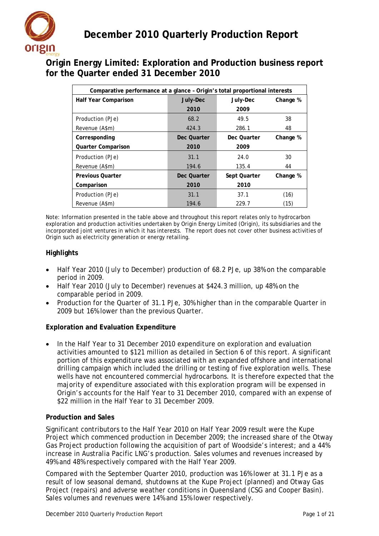

# **Origin Energy Limited: Exploration and Production business report for the Quarter ended 31 December 2010**

| Comparative performance at a glance - Origin's total proportional interests |             |              |          |
|-----------------------------------------------------------------------------|-------------|--------------|----------|
| Half Year Comparison                                                        | July-Dec    | July-Dec     | Change % |
|                                                                             | 2010        | 2009         |          |
| Production (PJe)                                                            | 68.2        | 49.5         | 38       |
| Revenue (A\$m)                                                              | 424.3       | 286.1        | 48       |
| Corresponding                                                               | Dec Quarter | Dec Quarter  | Change % |
| <b>Quarter Comparison</b>                                                   | 2010        | 2009         |          |
| Production (PJe)                                                            | 31.1        | 24.0         | 30       |
| Revenue (A\$m)                                                              | 194.6       | 135.4        | 44       |
| <b>Previous Quarter</b>                                                     | Dec Quarter | Sept Quarter | Change % |
| Comparison                                                                  | 2010        | 2010         |          |
| Production (PJe)                                                            | 31.1        | 37.1         | (16)     |
| Revenue (A\$m)                                                              | 194.6       | 229.7        | (15)     |

Note: Information presented in the table above and throughout this report relates only to hydrocarbon exploration and production activities undertaken by Origin Energy Limited (Origin), its subsidiaries and the incorporated joint ventures in which it has interests. The report does not cover other business activities of Origin such as electricity generation or energy retailing.

# **Highlights**

- Half Year 2010 (July to December) production of 68.2 PJe, up 38% on the comparable period in 2009.
- Half Year 2010 (July to December) revenues at \$424.3 million, up 48% on the comparable period in 2009.
- Production for the Quarter of 31.1 PJe, 30% higher than in the comparable Quarter in 2009 but 16% lower than the previous Quarter.

# **Exploration and Evaluation Expenditure**

• In the Half Year to 31 December 2010 expenditure on exploration and evaluation activities amounted to \$121 million as detailed in Section 6 of this report. A significant portion of this expenditure was associated with an expanded offshore and international drilling campaign which included the drilling or testing of five exploration wells. These wells have not encountered commercial hydrocarbons. It is therefore expected that the majority of expenditure associated with this exploration program will be expensed in Origin's accounts for the Half Year to 31 December 2010, compared with an expense of \$22 million in the Half Year to 31 December 2009.

#### **Production and Sales**

Significant contributors to the Half Year 2010 on Half Year 2009 result were the Kupe Project which commenced production in December 2009; the increased share of the Otway Gas Project production following the acquisition of part of Woodside's interest; and a 44% increase in Australia Pacific LNG's production. Sales volumes and revenues increased by 49% and 48% respectively compared with the Half Year 2009.

Compared with the September Quarter 2010, production was 16% lower at 31.1 PJe as a result of low seasonal demand, shutdowns at the Kupe Project (planned) and Otway Gas Project (repairs) and adverse weather conditions in Queensland (CSG and Cooper Basin). Sales volumes and revenues were 14% and 15% lower respectively.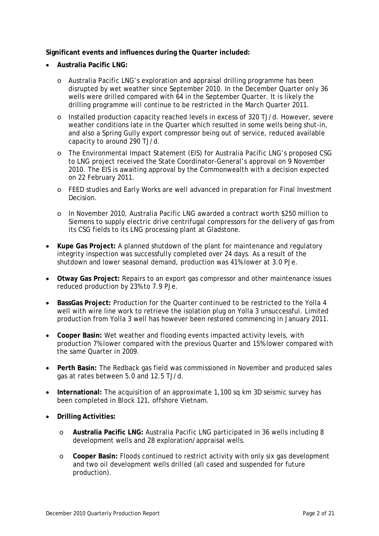**Significant events and influences during the Quarter included:**

- **Australia Pacific LNG:**
	- o Australia Pacific LNG's exploration and appraisal drilling programme has been disrupted by wet weather since September 2010. In the December Quarter only 36 wells were drilled compared with 64 in the September Quarter. It is likely the drilling programme will continue to be restricted in the March Quarter 2011.
	- o Installed production capacity reached levels in excess of 320 TJ/d. However, severe weather conditions late in the Quarter which resulted in some wells being shut-in, and also a Spring Gully export compressor being out of service, reduced available capacity to around 290 TJ/d.
	- o The Environmental Impact Statement (EIS) for Australia Pacific LNG's proposed CSG to LNG project received the State Coordinator-General's approval on 9 November 2010. The EIS is awaiting approval by the Commonwealth with a decision expected on 22 February 2011.
	- o FEED studies and Early Works are well advanced in preparation for Final Investment Decision.
	- o In November 2010, Australia Pacific LNG awarded a contract worth \$250 million to Siemens to supply electric drive centrifugal compressors for the delivery of gas from its CSG fields to its LNG processing plant at Gladstone.
- **Kupe Gas Project:** A planned shutdown of the plant for maintenance and regulatory integrity inspection was successfully completed over 24 days. As a result of the shutdown and lower seasonal demand, production was 41% lower at 3.0 PJe.
- **Otway Gas Project:** Repairs to an export gas compressor and other maintenance issues reduced production by 23% to 7.9 PJe.
- **BassGas Project:** Production for the Quarter continued to be restricted to the Yolla 4 well with wire line work to retrieve the isolation plug on Yolla 3 unsuccessful. Limited production from Yolla 3 well has however been restored commencing in January 2011.
- **Cooper Basin:** Wet weather and flooding events impacted activity levels, with production 7% lower compared with the previous Quarter and 15% lower compared with the same Quarter in 2009.
- **Perth Basin:** The Redback gas field was commissioned in November and produced sales gas at rates between 5.0 and 12.5 TJ/d.
- **International:** The acquisition of an approximate 1,100 sq km 3D seismic survey has been completed in Block 121, offshore Vietnam.
- **Drilling Activities:**
	- o **Australia Pacific LNG:** Australia Pacific LNG participated in 36 wells including 8 development wells and 28 exploration/appraisal wells.
	- o **Cooper Basin:** Floods continued to restrict activity with only six gas development and two oil development wells drilled (all cased and suspended for future production).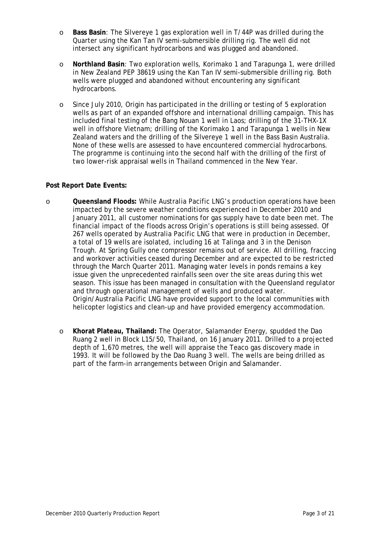- o **Bass Basin**: The Silvereye 1 gas exploration well in T/44P was drilled during the Quarter using the Kan Tan IV semi-submersible drilling rig. The well did not intersect any significant hydrocarbons and was plugged and abandoned.
- o **Northland Basin**: Two exploration wells, Korimako 1 and Tarapunga 1, were drilled in New Zealand PEP 38619 using the Kan Tan IV semi-submersible drilling rig. Both wells were plugged and abandoned without encountering any significant hydrocarbons.
- o Since July 2010, Origin has participated in the drilling or testing of 5 exploration wells as part of an expanded offshore and international drilling campaign. This has included final testing of the Bang Nouan 1 well in Laos; drilling of the 31-THX-1X well in offshore Vietnam; drilling of the Korimako 1 and Tarapunga 1 wells in New Zealand waters and the drilling of the Silvereye 1 well in the Bass Basin Australia. None of these wells are assessed to have encountered commercial hydrocarbons. The programme is continuing into the second half with the drilling of the first of two lower-risk appraisal wells in Thailand commenced in the New Year.

#### **Post Report Date Events:**

- o **Queensland Floods:** While Australia Pacific LNG's production operations have been impacted by the severe weather conditions experienced in December 2010 and January 2011, all customer nominations for gas supply have to date been met. The financial impact of the floods across Origin's operations is still being assessed. Of 267 wells operated by Australia Pacific LNG that were in production in December, a total of 19 wells are isolated, including 16 at Talinga and 3 in the Denison Trough. At Spring Gully one compressor remains out of service. All drilling, fraccing and workover activities ceased during December and are expected to be restricted through the March Quarter 2011. Managing water levels in ponds remains a key issue given the unprecedented rainfalls seen over the site areas during this wet season. This issue has been managed in consultation with the Queensland regulator and through operational management of wells and produced water. Origin/Australia Pacific LNG have provided support to the local communities with helicopter logistics and clean-up and have provided emergency accommodation.
	- o **Khorat Plateau, Thailand:** The Operator, Salamander Energy, spudded the Dao Ruang 2 well in Block L15/50, Thailand, on 16 January 2011. Drilled to a projected depth of 1,670 metres, the well will appraise the Teaco gas discovery made in 1993. It will be followed by the Dao Ruang 3 well. The wells are being drilled as part of the farm-in arrangements between Origin and Salamander.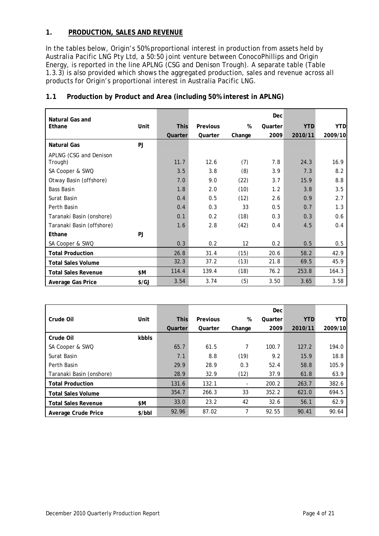# **1. PRODUCTION, SALES AND REVENUE**

In the tables below, Origin's 50% proportional interest in production from assets held by Australia Pacific LNG Pty Ltd, a 50:50 joint venture between ConocoPhillips and Origin Energy, is reported in the line *APLNG (CSG and Denison Trough)*. A separate table (Table 1.3.3) is also provided which shows the aggregated production, sales and revenue across all products for Origin's proportional interest in Australia Pacific LNG.

| <b>Natural Gas and</b>     |               |             |          |        | Dec     |            |            |
|----------------------------|---------------|-------------|----------|--------|---------|------------|------------|
| Ethane                     | Unit          | <b>This</b> | Previous | %      | Quarter | <b>YTD</b> | <b>YTD</b> |
|                            |               | Quarter     | Quarter  | Change | 2009    | 2010/11    | 2009/10    |
| Natural Gas                | PJ            |             |          |        |         |            |            |
| APLNG (CSG and Denison     |               |             |          |        |         |            |            |
| Trough)                    |               | 11.7        | 12.6     | (7)    | 7.8     | 24.3       | 16.9       |
| SA Cooper & SWQ            |               | 3.5         | 3.8      | (8)    | 3.9     | 7.3        | 8.2        |
| Otway Basin (offshore)     |               | 7.0         | 9.0      | (22)   | 3.7     | 15.9       | 8.8        |
| <b>Bass Basin</b>          |               | 1.8         | 2.0      | (10)   | 1.2     | 3.8        | 3.5        |
| Surat Basin                |               | 0.4         | 0.5      | (12)   | 2.6     | 0.9        | 2.7        |
| Perth Basin                |               | 0.4         | 0.3      | 33     | 0.5     | 0.7        | 1.3        |
| Taranaki Basin (onshore)   |               | 0.1         | 0.2      | (18)   | 0.3     | 0.3        | 0.6        |
| Taranaki Basin (offshore)  |               | 1.6         | 2.8      | (42)   | 0.4     | 4.5        | 0.4        |
| Ethane                     | PJ.           |             |          |        |         |            |            |
| SA Cooper & SWQ            |               | 0.3         | 0.2      | 12     | 0.2     | 0.5        | 0.5        |
| <b>Total Production</b>    |               | 26.8        | 31.4     | (15)   | 20.6    | 58.2       | 42.9       |
| <b>Total Sales Volume</b>  |               | 32.3        | 37.2     | (13)   | 21.8    | 69.5       | 45.9       |
| <b>Total Sales Revenue</b> | \$М           | 114.4       | 139.4    | (18)   | 76.2    | 253.8      | 164.3      |
| Average Gas Price          | $\frac{f}{G}$ | 3.54        | 3.74     | (5)    | 3.50    | 3.65       | 3.58       |

# **1.1 Production by Product and Area (including 50% interest in APLNG)**

|                            |        |             |          |        | Dec     |            |            |
|----------------------------|--------|-------------|----------|--------|---------|------------|------------|
| Crude Oil                  | Unit   | <b>This</b> | Previous | %      | Quarter | <b>YTD</b> | <b>YTD</b> |
|                            |        | Quarter     | Quarter  | Change | 2009    | 2010/11    | 2009/10    |
| Crude Oil                  | kbbls  |             |          |        |         |            |            |
| SA Cooper & SWQ            |        | 65.7        | 61.5     | 7      | 100.7   | 127.2      | 194.0      |
| Surat Basin                |        | 7.1         | 8.8      | (19)   | 9.2     | 15.9       | 18.8       |
| Perth Basin                |        | 29.9        | 28.9     | 0.3    | 52.4    | 58.8       | 105.9      |
| Taranaki Basin (onshore)   |        | 28.9        | 32.9     | (12)   | 37.9    | 61.8       | 63.9       |
| <b>Total Production</b>    |        | 131.6       | 132.1    | $\sim$ | 200.2   | 263.7      | 382.6      |
| <b>Total Sales Volume</b>  |        | 354.7       | 266.3    | 33     | 352.2   | 621.0      | 694.5      |
| <b>Total Sales Revenue</b> | \$Μ    | 33.0        | 23.2     | 42     | 32.6    | 56.1       | 62.9       |
| Average Crude Price        | \$/bbI | 92.96       | 87.02    | 7      | 92.55   | 90.41      | 90.64      |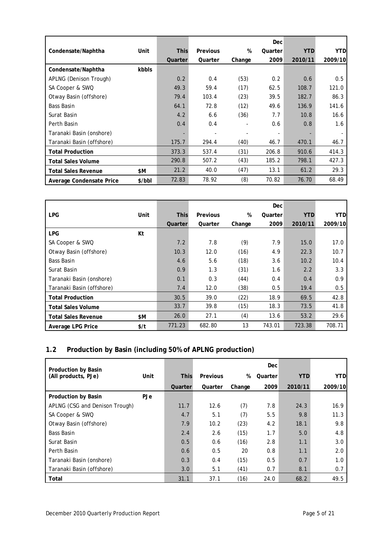|                            |        |             |          |        | Dec     |            |            |
|----------------------------|--------|-------------|----------|--------|---------|------------|------------|
| Condensate/Naphtha         | Unit   | <b>This</b> | Previous | %      | Quarter | <b>YTD</b> | <b>YTD</b> |
|                            |        | Quarter     | Quarter  | Change | 2009    | 2010/11    | 2009/10    |
| Condensate/Naphtha         | kbbls  |             |          |        |         |            |            |
| APLNG (Denison Trough)     |        | 0.2         | 0.4      | (53)   | 0.2     | 0.6        | 0.5        |
| SA Cooper & SWQ            |        | 49.3        | 59.4     | (17)   | 62.5    | 108.7      | 121.0      |
| Otway Basin (offshore)     |        | 79.4        | 103.4    | (23)   | 39.5    | 182.7      | 86.3       |
| <b>Bass Basin</b>          |        | 64.1        | 72.8     | (12)   | 49.6    | 136.9      | 141.6      |
| Surat Basin                |        | 4.2         | 6.6      | (36)   | 7.7     | 10.8       | 16.6       |
| Perth Basin                |        | 0.4         | 0.4      |        | 0.6     | 0.8        | 1.6        |
| Taranaki Basin (onshore)   |        |             |          |        |         |            |            |
| Taranaki Basin (offshore)  |        | 175.7       | 294.4    | (40)   | 46.7    | 470.1      | 46.7       |
| <b>Total Production</b>    |        | 373.3       | 537.4    | (31)   | 206.8   | 910.6      | 414.3      |
| <b>Total Sales Volume</b>  |        | 290.8       | 507.2    | (43)   | 185.2   | 798.1      | 427.3      |
| <b>Total Sales Revenue</b> | \$Μ    | 21.2        | 40.0     | (47)   | 13.1    | 61.2       | 29.3       |
| Average Condensate Price   | \$/bbl | 72.83       | 78.92    | (8)    | 70.82   | 76.70      | 68.49      |

|                            |      |             |                 |        | <b>Dec</b> |            |            |
|----------------------------|------|-------------|-----------------|--------|------------|------------|------------|
| <b>LPG</b>                 | Unit | <b>This</b> | <b>Previous</b> | %      | Quarter    | <b>YTD</b> | <b>YTD</b> |
|                            |      | Quarter     | Quarter         | Change | 2009       | 2010/11    | 2009/10    |
| <b>LPG</b>                 | Kt   |             |                 |        |            |            |            |
| SA Cooper & SWQ            |      | 7.2         | 7.8             | (9)    | 7.9        | 15.0       | 17.0       |
| Otway Basin (offshore)     |      | 10.3        | 12.0            | (16)   | 4.9        | 22.3       | 10.7       |
| <b>Bass Basin</b>          |      | 4.6         | 5.6             | (18)   | 3.6        | 10.2       | 10.4       |
| Surat Basin                |      | 0.9         | 1.3             | (31)   | 1.6        | 2.2        | 3.3        |
| Taranaki Basin (onshore)   |      | 0.1         | 0.3             | (44)   | 0.4        | 0.4        | 0.9        |
| Taranaki Basin (offshore)  |      | 7.4         | 12.0            | (38)   | 0.5        | 19.4       | 0.5        |
| <b>Total Production</b>    |      | 30.5        | 39.0            | (22)   | 18.9       | 69.5       | 42.8       |
| <b>Total Sales Volume</b>  |      | 33.7        | 39.8            | (15)   | 18.3       | 73.5       | 41.8       |
| <b>Total Sales Revenue</b> | \$Μ  | 26.0        | 27.1            | (4)    | 13.6       | 53.2       | 29.6       |
| Average LPG Price          | \$/t | 771.23      | 682.80          | 13     | 743.01     | 723.38     | 708.71     |

# **1.2 Production by Basin (including 50% of APLNG production)**

| <b>Production by Basin</b>     |            |             |          |        | Dec     |            |            |
|--------------------------------|------------|-------------|----------|--------|---------|------------|------------|
| (All products, PJe)            | Unit       | <b>This</b> | Previous | %      | Quarter | <b>YTD</b> | <b>YTD</b> |
|                                |            | Quarter     | Quarter  | Change | 2009    | 2010/11    | 2009/10    |
| Production by Basin            | <b>PJe</b> |             |          |        |         |            |            |
| APLNG (CSG and Denison Trough) |            | 11.7        | 12.6     | (7)    | 7.8     | 24.3       | 16.9       |
| SA Cooper & SWQ                |            | 4.7         | 5.1      | (7)    | 5.5     | 9.8        | 11.3       |
| Otway Basin (offshore)         |            | 7.9         | 10.2     | (23)   | 4.2     | 18.1       | 9.8        |
| Bass Basin                     |            | 2.4         | 2.6      | (15)   | 1.7     | 5.0        | 4.8        |
| Surat Basin                    |            | 0.5         | 0.6      | (16)   | 2.8     | 1.1        | 3.0        |
| Perth Basin                    |            | 0.6         | 0.5      | 20     | 0.8     | 1.1        | 2.0        |
| Taranaki Basin (onshore)       |            | 0.3         | 0.4      | (15)   | 0.5     | 0.7        | 1.0        |
| Taranaki Basin (offshore)      |            | 3.0         | 5.1      | (41)   | 0.7     | 8.1        | 0.7        |
| Total                          |            | 31.1        | 37.1     | (16)   | 24.0    | 68.2       | 49.5       |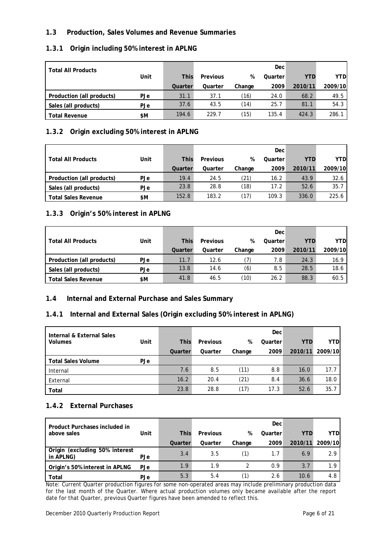# **1.3 Production, Sales Volumes and Revenue Summaries**

# **1.3.1 Origin including 50% interest in APLNG**

| <b>Total All Products</b> |            |             |          |        | Dec     |            |         |
|---------------------------|------------|-------------|----------|--------|---------|------------|---------|
|                           | Unit       | <b>This</b> | Previous | %      | Quarter | <b>YTD</b> | YTD     |
|                           |            | Quarter     | Quarter  | Change | 2009    | 2010/11    | 2009/10 |
| Production (all products) | <b>PJe</b> | 31.1        | 37.1     | (16)   | 24.0    | 68.2       | 49.5    |
| Sales (all products)      | <b>PJe</b> | 37.6        | 43.5     | (14)   | 25.7    | 81.1       | 54.3    |
| <b>Total Revenue</b>      | \$Μ        | 194.6       | 229.7    | (15)   | 135.4   | 424.3      | 286.1   |

# **1.3.2 Origin excluding 50% interest in APLNG**

|                            |            |             |          |        | Dec     |            |         |
|----------------------------|------------|-------------|----------|--------|---------|------------|---------|
| <b>Total All Products</b>  | Unit       | <b>This</b> | Previous | %      | Quarter | <b>YTD</b> | YTD     |
|                            |            | Quarter     | Quarter  | Change | 2009    | 2010/11    | 2009/10 |
| Production (all products)  | <b>PJe</b> | 19.4        | 24.5     | (21)   | 16.2    | 43.9       | 32.6    |
| Sales (all products)       | PJe        | 23.8        | 28.8     | (18)   | 17.2    | 52.6       | 35.7    |
| <b>Total Sales Revenue</b> | \$M        | 152.8       | 183.2    | (17)   | 109.3   | 336.0      | 225.6   |

# **1.3.3 Origin's 50% interest in APLNG**

|                            |      |             |          |        | Dec     |            |         |
|----------------------------|------|-------------|----------|--------|---------|------------|---------|
| <b>Total All Products</b>  | Unit | <b>This</b> | Previous | %      | Quarter | <b>YTD</b> | YTDI    |
|                            |      | Quarter     | Quarter  | Change | 2009    | 2010/11    | 2009/10 |
| Production (all products)  | PJe  | 11.7        | 12.6     |        | 7.8     | 24.3       | 16.9    |
| Sales (all products)       | PJe  | 13.8        | 14.6     | (6)    | 8.5     | 28.5       | 18.6    |
| <b>Total Sales Revenue</b> | \$Μ  | 41.8        | 46.5     | (10)   | 26.2    | 88.3       | 60.5    |

# **1.4 Internal and External Purchase and Sales Summary**

#### **1.4.1 Internal and External Sales (Origin excluding 50% interest in APLNG)**

| Internal & External Sales |      |             |          |        | Dec     |            |            |
|---------------------------|------|-------------|----------|--------|---------|------------|------------|
| <b>Volumes</b>            | Unit | <b>This</b> | Previous | %      | Quarter | <b>YTD</b> | <b>YTD</b> |
|                           |      | Quarter     | Quarter  | Change | 2009    | 2010/11    | 2009/10    |
| <b>Total Sales Volume</b> | PJe  |             |          |        |         |            |            |
| Internal                  |      | 7.6         | 8.5      | (11)   | 8.8     | 16.0       | 17.7       |
| External                  |      | 16.2        | 20.4     | (21)   | 8.4     | 36.6       | 18.0       |
| Total                     |      | 23.8        | 28.8     | (17)   | 17.3    | 52.6       | 35.7       |

#### **1.4.2 External Purchases**

| Product Purchases included in               |            |             |          |        | Dec     |         |            |
|---------------------------------------------|------------|-------------|----------|--------|---------|---------|------------|
| above sales                                 | Unit       | <b>This</b> | Previous | %      | Quarter | YTD     | <b>YTD</b> |
|                                             |            | Quarter     | Quarter  | Change | 2009    | 2010/11 | 2009/10    |
| Origin (excluding 50% interest<br>in APLNG) | PJe        | 3.4         | 3.5      |        | 1.7     | 6.9     | 2.9        |
| Origin's 50% interest in APLNG              | <b>PJe</b> | 1.9         | 1.9      |        | 0.9     | 3.7     | 1.9        |
| Total                                       | <b>PJe</b> | 5.3         | 5.4      |        | 2.6     | 10.6    | 4.8        |

Note: Current Quarter production figures for some non-operated areas may include preliminary production data for the last month of the Quarter. Where actual production volumes only became available after the report date for that Quarter, previous Quarter figures have been amended to reflect this.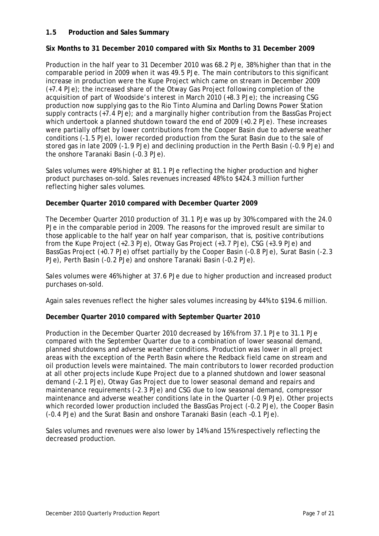#### **1.5 Production and Sales Summary**

#### **Six Months to 31 December 2010 compared with Six Months to 31 December 2009**

Production in the half year to 31 December 2010 was 68.2 PJe, 38% higher than that in the comparable period in 2009 when it was 49.5 PJe. The main contributors to this significant increase in production were the Kupe Project which came on stream in December 2009 (+7.4 PJe); the increased share of the Otway Gas Project following completion of the acquisition of part of Woodside's interest in March 2010 (+8.3 PJe); the increasing CSG production now supplying gas to the Rio Tinto Alumina and Darling Downs Power Station supply contracts (+7.4 PJe); and a marginally higher contribution from the BassGas Project which undertook a planned shutdown toward the end of 2009 (+0.2 PJe). These increases were partially offset by lower contributions from the Cooper Basin due to adverse weather conditions (-1.5 PJe), lower recorded production from the Surat Basin due to the sale of stored gas in late 2009 (-1.9 PJe) and declining production in the Perth Basin (-0.9 PJe) and the onshore Taranaki Basin (-0.3 PJe).

Sales volumes were 49% higher at 81.1 PJe reflecting the higher production and higher product purchases on-sold. Sales revenues increased 48% to \$424.3 million further reflecting higher sales volumes.

#### **December Quarter 2010 compared with December Quarter 2009**

The December Quarter 2010 production of 31.1 PJe was up by 30% compared with the 24.0 PJe in the comparable period in 2009. The reasons for the improved result are similar to those applicable to the half year on half year comparison, that is, positive contributions from the Kupe Project (+2.3 PJe), Otway Gas Project (+3.7 PJe), CSG (+3.9 PJe) and BassGas Project (+0.7 PJe) offset partially by the Cooper Basin (-0.8 PJe), Surat Basin (-2.3 PJe), Perth Basin (-0.2 PJe) and onshore Taranaki Basin (-0.2 PJe).

Sales volumes were 46% higher at 37.6 PJe due to higher production and increased product purchases on-sold.

Again sales revenues reflect the higher sales volumes increasing by 44% to \$194.6 million.

#### **December Quarter 2010 compared with September Quarter 2010**

Production in the December Quarter 2010 decreased by 16% from 37.1 PJe to 31.1 PJe compared with the September Quarter due to a combination of lower seasonal demand, planned shutdowns and adverse weather conditions. Production was lower in all project areas with the exception of the Perth Basin where the Redback field came on stream and oil production levels were maintained. The main contributors to lower recorded production at all other projects include Kupe Project due to a planned shutdown and lower seasonal demand (-2.1 PJe), Otway Gas Project due to lower seasonal demand and repairs and maintenance requirements (-2.3 PJe) and CSG due to low seasonal demand, compressor maintenance and adverse weather conditions late in the Quarter (-0.9 PJe). Other projects which recorded lower production included the BassGas Project (-0.2 PJe), the Cooper Basin (-0.4 PJe) and the Surat Basin and onshore Taranaki Basin (each –0.1 PJe).

Sales volumes and revenues were also lower by 14% and 15% respectively reflecting the decreased production.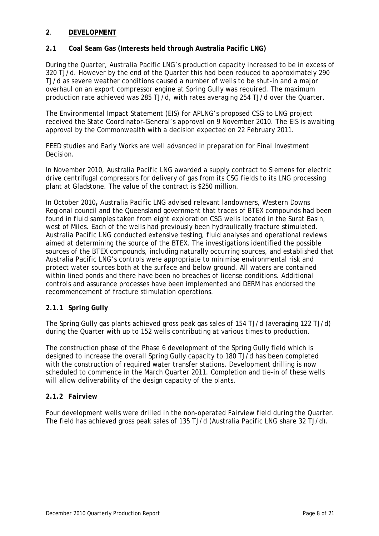#### **2**. **DEVELOPMENT**

### **2.1 Coal Seam Gas (Interests held through Australia Pacific LNG)**

During the Quarter, Australia Pacific LNG's production capacity increased to be in excess of 320 TJ/d. However by the end of the Quarter this had been reduced to approximately 290 TJ/d as severe weather conditions caused a number of wells to be shut-in and a major overhaul on an export compressor engine at Spring Gully was required. The maximum production rate achieved was 285 TJ/d, with rates averaging 254 TJ/d over the Quarter.

The Environmental Impact Statement (EIS) for APLNG's proposed CSG to LNG project received the State Coordinator-General's approval on 9 November 2010. The EIS is awaiting approval by the Commonwealth with a decision expected on 22 February 2011.

FEED studies and Early Works are well advanced in preparation for Final Investment Decision.

In November 2010, Australia Pacific LNG awarded a supply contract to Siemens for electric drive centrifugal compressors for delivery of gas from its CSG fields to its LNG processing plant at Gladstone. The value of the contract is \$250 million.

In October 2010**,** Australia Pacific LNG advised relevant landowners, Western Downs Regional council and the Queensland government that traces of BTEX compounds had been found in fluid samples taken from eight exploration CSG wells located in the Surat Basin, west of Miles. Each of the wells had previously been hydraulically fracture stimulated. Australia Pacific LNG conducted extensive testing, fluid analyses and operational reviews aimed at determining the source of the BTEX. The investigations identified the possible sources of the BTEX compounds, including naturally occurring sources, and established that Australia Pacific LNG's controls were appropriate to minimise environmental risk and protect water sources both at the surface and below ground. All waters are contained within lined ponds and there have been no breaches of license conditions. Additional controls and assurance processes have been implemented and DERM has endorsed the recommencement of fracture stimulation operations.

#### **2.1.1** *Spring Gully*

The Spring Gully gas plants achieved gross peak gas sales of 154 TJ/d (averaging 122 TJ/d) during the Quarter with up to 152 wells contributing at various times to production.

The construction phase of the Phase 6 development of the Spring Gully field which is designed to increase the overall Spring Gully capacity to 180 TJ/d has been completed with the construction of required water transfer stations. Development drilling is now scheduled to commence in the March Quarter 2011. Completion and tie-in of these wells will allow deliverability of the design capacity of the plants.

#### **2.1.2** *Fairview*

Four development wells were drilled in the non-operated Fairview field during the Quarter. The field has achieved gross peak sales of 135 TJ/d (Australia Pacific LNG share 32 TJ/d).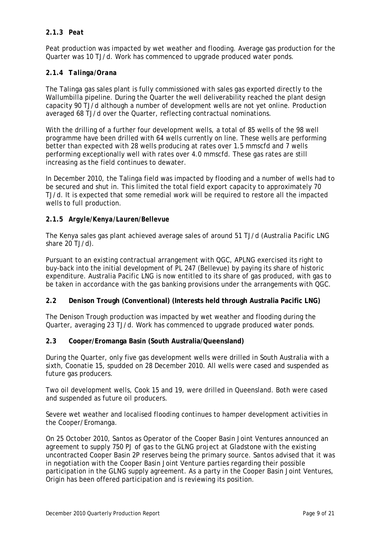### **2.1.3** *Peat*

Peat production was impacted by wet weather and flooding. Average gas production for the Quarter was 10 TJ/d. Work has commenced to upgrade produced water ponds.

# **2.1.4** *Talinga/Orana*

The Talinga gas sales plant is fully commissioned with sales gas exported directly to the Wallumbilla pipeline. During the Quarter the well deliverability reached the plant design capacity 90 TJ/d although a number of development wells are not yet online. Production averaged 68 TJ/d over the Quarter, reflecting contractual nominations.

With the drilling of a further four development wells, a total of 85 wells of the 98 well programme have been drilled with 64 wells currently on line. These wells are performing better than expected with 28 wells producing at rates over 1.5 mmscfd and 7 wells performing exceptionally well with rates over 4.0 mmscfd. These gas rates are still increasing as the field continues to dewater.

In December 2010, the Talinga field was impacted by flooding and a number of wells had to be secured and shut in. This limited the total field export capacity to approximately 70 TJ/d. It is expected that some remedial work will be required to restore all the impacted wells to full production.

# **2.1.5** *Argyle/Kenya/Lauren/Bellevue*

The Kenya sales gas plant achieved average sales of around 51 TJ/d (Australia Pacific LNG share 20 TJ/d).

Pursuant to an existing contractual arrangement with QGC, APLNG exercised its right to buy-back into the initial development of PL 247 (Bellevue) by paying its share of historic expenditure. Australia Pacific LNG is now entitled to its share of gas produced, with gas to be taken in accordance with the gas banking provisions under the arrangements with QGC.

#### **2.2 Denison Trough (Conventional) (Interests held through Australia Pacific LNG)**

The Denison Trough production was impacted by wet weather and flooding during the Quarter, averaging 23 TJ/d. Work has commenced to upgrade produced water ponds.

#### **2.3 Cooper/Eromanga Basin (South Australia/Queensland)**

During the Quarter, only five gas development wells were drilled in South Australia with a sixth, Coonatie 15, spudded on 28 December 2010. All wells were cased and suspended as future gas producers.

Two oil development wells, Cook 15 and 19, were drilled in Queensland. Both were cased and suspended as future oil producers.

Severe wet weather and localised flooding continues to hamper development activities in the Cooper/Eromanga.

On 25 October 2010, Santos as Operator of the Cooper Basin Joint Ventures announced an agreement to supply 750 PJ of gas to the GLNG project at Gladstone with the existing uncontracted Cooper Basin 2P reserves being the primary source. Santos advised that it was in negotiation with the Cooper Basin Joint Venture parties regarding their possible participation in the GLNG supply agreement. As a party in the Cooper Basin Joint Ventures, Origin has been offered participation and is reviewing its position.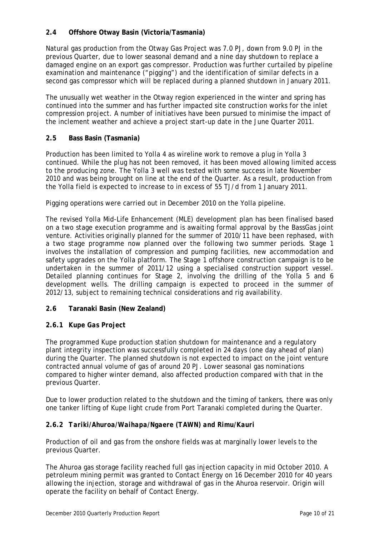# **2.4 Offshore Otway Basin (Victoria/Tasmania)**

Natural gas production from the Otway Gas Project was 7.0 PJ, down from 9.0 PJ in the previous Quarter, due to lower seasonal demand and a nine day shutdown to replace a damaged engine on an export gas compressor. Production was further curtailed by pipeline examination and maintenance ("pigging") and the identification of similar defects in a second gas compressor which will be replaced during a planned shutdown in January 2011.

The unusually wet weather in the Otway region experienced in the winter and spring has continued into the summer and has further impacted site construction works for the inlet compression project. A number of initiatives have been pursued to minimise the impact of the inclement weather and achieve a project start-up date in the June Quarter 2011.

# **2.5 Bass Basin (Tasmania)**

Production has been limited to Yolla 4 as wireline work to remove a plug in Yolla 3 continued. While the plug has not been removed, it has been moved allowing limited access to the producing zone. The Yolla 3 well was tested with some success in late November 2010 and was being brought on line at the end of the Quarter. As a result, production from the Yolla field is expected to increase to in excess of 55 TJ/d from 1 January 2011.

Pigging operations were carried out in December 2010 on the Yolla pipeline.

The revised Yolla Mid-Life Enhancement (MLE) development plan has been finalised based on a two stage execution programme and is awaiting formal approval by the BassGas joint venture. Activities originally planned for the summer of 2010/11 have been rephased, with a two stage programme now planned over the following two summer periods. Stage 1 involves the installation of compression and pumping facilities, new accommodation and safety upgrades on the Yolla platform. The Stage 1 offshore construction campaign is to be undertaken in the summer of 2011/12 using a specialised construction support vessel. Detailed planning continues for Stage 2, involving the drilling of the Yolla 5 and 6 development wells. The drilling campaign is expected to proceed in the summer of 2012/13, subject to remaining technical considerations and rig availability.

# **2.6 Taranaki Basin (New Zealand)**

#### **2.6.1** *Kupe Gas Project*

The programmed Kupe production station shutdown for maintenance and a regulatory plant integrity inspection was successfully completed in 24 days (one day ahead of plan) during the Quarter. The planned shutdown is not expected to impact on the joint venture contracted annual volume of gas of around 20 PJ. Lower seasonal gas nominations compared to higher winter demand, also affected production compared with that in the previous Quarter.

Due to lower production related to the shutdown and the timing of tankers, there was only one tanker lifting of Kupe light crude from Port Taranaki completed during the Quarter.

#### **2.6.2** *Tariki/Ahuroa/Waihapa/Ngaere (TAWN) and Rimu/Kauri*

Production of oil and gas from the onshore fields was at marginally lower levels to the previous Quarter.

The Ahuroa gas storage facility reached full gas injection capacity in mid October 2010. A petroleum mining permit was granted to Contact Energy on 16 December 2010 for 40 years allowing the injection, storage and withdrawal of gas in the Ahuroa reservoir. Origin will operate the facility on behalf of Contact Energy.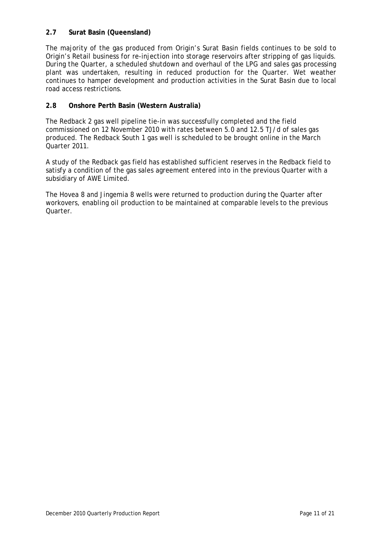# **2.7 Surat Basin (Queensland)**

The majority of the gas produced from Origin's Surat Basin fields continues to be sold to Origin's Retail business for re-injection into storage reservoirs after stripping of gas liquids. During the Quarter, a scheduled shutdown and overhaul of the LPG and sales gas processing plant was undertaken, resulting in reduced production for the Quarter. Wet weather continues to hamper development and production activities in the Surat Basin due to local road access restrictions.

#### **2.8 Onshore Perth Basin (Western Australia)**

The Redback 2 gas well pipeline tie-in was successfully completed and the field commissioned on 12 November 2010 with rates between 5.0 and 12.5 TJ/d of sales gas produced. The Redback South 1 gas well is scheduled to be brought online in the March Quarter 2011.

A study of the Redback gas field has established sufficient reserves in the Redback field to satisfy a condition of the gas sales agreement entered into in the previous Quarter with a subsidiary of AWE Limited.

The Hovea 8 and Jingemia 8 wells were returned to production during the Quarter after workovers, enabling oil production to be maintained at comparable levels to the previous Quarter.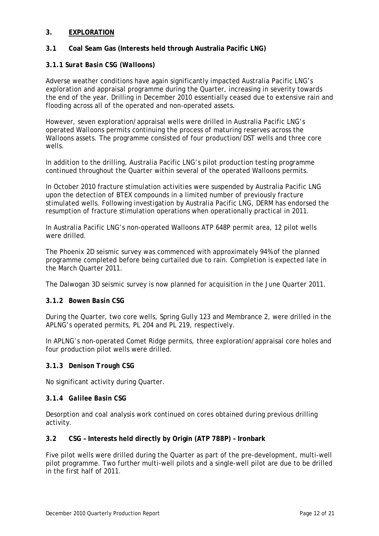#### **3. EXPLORATION**

#### **3.1 Coal Seam Gas (Interests held through Australia Pacific LNG)**

#### **3.1.1** *Surat Basin CSG (Walloons)*

Adverse weather conditions have again significantly impacted Australia Pacific LNG's exploration and appraisal programme during the Quarter, increasing in severity towards the end of the year. Drilling in December 2010 essentially ceased due to extensive rain and flooding across all of the operated and non-operated assets.

However, seven exploration/appraisal wells were drilled in Australia Pacific LNG's operated Walloons permits continuing the process of maturing reserves across the Walloons assets. The programme consisted of four production/DST wells and three core wells.

In addition to the drilling, Australia Pacific LNG's pilot production testing programme continued throughout the Quarter within several of the operated Walloons permits.

In October 2010 fracture stimulation activities were suspended by Australia Pacific LNG upon the detection of BTEX compounds in a limited number of previously fracture stimulated wells. Following investigation by Australia Pacific LNG, DERM has endorsed the resumption of fracture stimulation operations when operationally practical in 2011.

In Australia Pacific LNG's non-operated Walloons ATP 648P permit area, 12 pilot wells were drilled.

The Phoenix 2D seismic survey was commenced with approximately 94% of the planned programme completed before being curtailed due to rain. Completion is expected late in the March Quarter 2011.

The Dalwogan 3D seismic survey is now planned for acquisition in the June Quarter 2011.

#### **3.1.2** *Bowen Basin CSG*

During the Quarter, two core wells, Spring Gully 123 and Membrance 2, were drilled in the APLNG's operated permits, PL 204 and PL 219, respectively.

In APLNG's non-operated Comet Ridge permits, three exploration/appraisal core holes and four production pilot wells were drilled.

#### **3.1.3** *Denison Trough CSG*

No significant activity during Quarter.

#### **3.1.4** *Galilee Basin CSG*

Desorption and coal analysis work continued on cores obtained during previous drilling activity.

#### **3.2 CSG – Interests held directly by Origin (ATP 788P) – Ironbark**

Five pilot wells were drilled during the Quarter as part of the pre-development, multi-well pilot programme. Two further multi-well pilots and a single-well pilot are due to be drilled in the first half of 2011.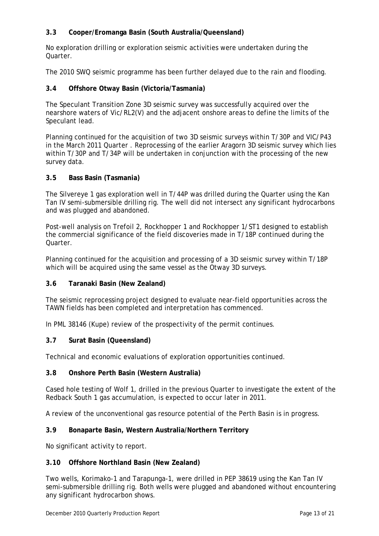# **3.3 Cooper/Eromanga Basin (South Australia/Queensland)**

No exploration drilling or exploration seismic activities were undertaken during the **Quarter** 

The 2010 SWQ seismic programme has been further delayed due to the rain and flooding.

#### **3.4 Offshore Otway Basin (Victoria/Tasmania)**

The Speculant Transition Zone 3D seismic survey was successfully acquired over the nearshore waters of Vic/RL2(V) and the adjacent onshore areas to define the limits of the Speculant lead.

Planning continued for the acquisition of two 3D seismic surveys within T/30P and VIC/P43 in the March 2011 Quarter . Reprocessing of the earlier Aragorn 3D seismic survey which lies within T/30P and T/34P will be undertaken in conjunction with the processing of the new survey data.

#### **3.5 Bass Basin (Tasmania)**

The Silvereye 1 gas exploration well in T/44P was drilled during the Quarter using the Kan Tan IV semi-submersible drilling rig. The well did not intersect any significant hydrocarbons and was plugged and abandoned.

Post-well analysis on Trefoil 2, Rockhopper 1 and Rockhopper 1/ST1 designed to establish the commercial significance of the field discoveries made in T/18P continued during the Quarter.

Planning continued for the acquisition and processing of a 3D seismic survey within T/18P which will be acquired using the same vessel as the Otway 3D surveys.

#### **3.6 Taranaki Basin (New Zealand)**

The seismic reprocessing project designed to evaluate near-field opportunities across the TAWN fields has been completed and interpretation has commenced.

In PML 38146 (Kupe) review of the prospectivity of the permit continues.

#### **3.7 Surat Basin (Queensland)**

Technical and economic evaluations of exploration opportunities continued.

#### **3.8 Onshore Perth Basin (Western Australia)**

Cased hole testing of Wolf 1, drilled in the previous Quarter to investigate the extent of the Redback South 1 gas accumulation, is expected to occur later in 2011.

A review of the unconventional gas resource potential of the Perth Basin is in progress.

#### **3.9 Bonaparte Basin, Western Australia/Northern Territory**

No significant activity to report.

#### **3.10 Offshore Northland Basin (New Zealand)**

Two wells, Korimako-1 and Tarapunga-1, were drilled in PEP 38619 using the Kan Tan IV semi-submersible drilling rig. Both wells were plugged and abandoned without encountering any significant hydrocarbon shows.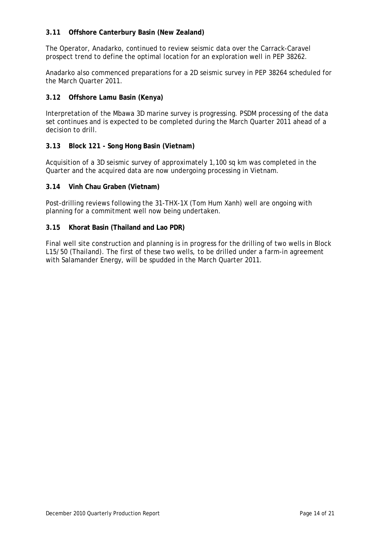### **3.11 Offshore Canterbury Basin (New Zealand)**

The Operator, Anadarko, continued to review seismic data over the Carrack-Caravel prospect trend to define the optimal location for an exploration well in PEP 38262.

Anadarko also commenced preparations for a 2D seismic survey in PEP 38264 scheduled for the March Quarter 2011.

#### **3.12 Offshore Lamu Basin (Kenya)**

Interpretation of the Mbawa 3D marine survey is progressing. PSDM processing of the data set continues and is expected to be completed during the March Quarter 2011 ahead of a decision to drill.

#### **3.13 Block 121 - Song Hong Basin (Vietnam)**

Acquisition of a 3D seismic survey of approximately 1,100 sq km was completed in the Quarter and the acquired data are now undergoing processing in Vietnam.

#### **3.14 Vinh Chau Graben (Vietnam)**

Post-drilling reviews following the 31-THX-1X (Tom Hum Xanh) well are ongoing with planning for a commitment well now being undertaken.

#### **3.15 Khorat Basin (Thailand and Lao PDR)**

Final well site construction and planning is in progress for the drilling of two wells in Block L15/50 (Thailand). The first of these two wells, to be drilled under a farm-in agreement with Salamander Energy, will be spudded in the March Quarter 2011.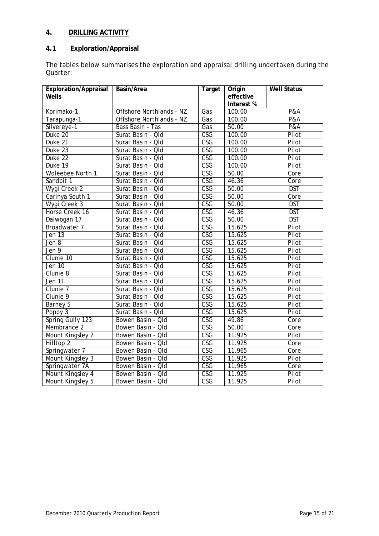# **4. DRILLING ACTIVITY**

# **4.1 Exploration/Appraisal**

The tables below summarises the exploration and appraisal drilling undertaken during the Quarter:

| <b>Exploration/Appraisal</b> | Basin/Area                      | Target                  | Origin     | <b>Well Status</b> |
|------------------------------|---------------------------------|-------------------------|------------|--------------------|
| Wells                        |                                 |                         | effective  |                    |
|                              |                                 |                         | Interest % |                    |
| Korimako-1                   | <b>Offshore Northlands - NZ</b> | Gas                     | 100.00     | <b>P&amp;A</b>     |
| Tarapunga-1                  | Offshore Northlands - NZ        | Gas                     | 100.00     | <b>P&amp;A</b>     |
| Silvereye-1                  | Bass Basin - Tas                | Gas                     | 50.00      | <b>P&amp;A</b>     |
| Duke 20                      | Surat Basin - Qld               | CSG                     | 100.00     | Pilot              |
| Duke 21                      | Surat Basin - Qld               | <b>CSG</b>              | 100.00     | Pilot              |
| Duke 23                      | Surat Basin - Old               | $\overline{\text{CSG}}$ | 100.00     | Pilot              |
| Duke 22                      | Surat Basin - Qld               | $\overline{\text{CSG}}$ | 100.00     | Pilot              |
| Duke 19                      | Surat Basin - Qld               | $\overline{\text{CSG}}$ | 100.00     | Pilot              |
| Woleebee North 1             | Surat Basin - Qld               | $\overline{\text{CSG}}$ | 50.00      | Core               |
| Sandpit 1                    | Surat Basin - Qld               | $\overline{\text{CSG}}$ | 46.36      | Core               |
| Wygi Creek 2                 | Surat Basin - Qld               | $\overline{\text{CSG}}$ | 50.00      | <b>DST</b>         |
| Carinya South 1              | Surat Basin - Qld               | $\overline{\text{CSG}}$ | 50.00      | Core               |
| Wygi Creek 3                 | Surat Basin - Qld               | CSG                     | 50.00      | <b>DST</b>         |
| Horse Creek 16               | Surat Basin - Qld               | $\overline{\text{CSG}}$ | 46.36      | <b>DST</b>         |
| Dalwogan 17                  | Surat Basin - Qld               | $\overline{\text{CSG}}$ | 50.00      | <b>DST</b>         |
| Broadwater 7                 | Surat Basin - Qld               | CSG                     | 15.625     | Pilot              |
| Jen 13                       | Surat Basin - Qld               | $\overline{\text{CSG}}$ | 15.625     | Pilot              |
| Jen $\overline{8}$           | Surat Basin - Old               | $\overline{\text{CSG}}$ | 15.625     | Pilot              |
| Jen 9                        | Surat Basin - Qld               | $\overline{\text{CSG}}$ | 15.625     | Pilot              |
| Clunie 10                    | Surat Basin - Qld               | <b>CSG</b>              | 15.625     | Pilot              |
| Jen $10$                     | Surat Basin - Qld               | $\overline{\text{CSG}}$ | 15.625     | Pilot              |
| Clunie 8                     | Surat Basin - Qld               | $\overline{\text{CSG}}$ | 15.625     | Pilot              |
| Jen 11                       | Surat Basin - Old               | <b>CSG</b>              | 15.625     | Pilot              |
| Clunie 7                     | Surat Basin - Qld               | CSG                     | 15.625     | Pilot              |
| Clunie 9                     | Surat Basin - Qld               | $\overline{\text{CSG}}$ | 15.625     | Pilot              |
| Barney 5                     | Surat Basin - Qld               | $\overline{\text{CSG}}$ | 15.625     | Pilot              |
| Poppy $3$                    | Surat Basin - Qld               | CSG                     | 15.625     | Pilot              |
| Spring Gully 123             | Bowen Basin - Qld               | $\overline{\text{CSG}}$ | 49.86      | Core               |
| Membrance 2                  | Bowen Basin - Qld               | $\overline{\text{CSG}}$ | 50.00      | Core               |
| Mount Kingsley 2             | Bowen Basin - Qld               | <b>CSG</b>              | 11.925     | Pilot              |
| Hilltop <sub>2</sub>         | Bowen Basin - Qld               | $\overline{\text{CSG}}$ | 11.925     | Core               |
| Springwater 7                | Bowen Basin - Qld               | $\overline{\text{CSG}}$ | 11.965     | Core               |
| Mount Kingsley 3             | Bowen Basin - Qld               | $\overline{\text{CSG}}$ | 11.925     | Pilot              |
| Springwater 7A               | Bowen Basin - Qld               | <b>CSG</b>              | 11.965     | $\overline{C}$ ore |
| Mount Kingsley 4             | Bowen Basin - Qld               | CSG                     | 11.925     | Pilot              |
| Mount Kingsley 5             | Bowen Basin - Qld               | $\overline{\text{CSG}}$ | 11.925     | Pilot              |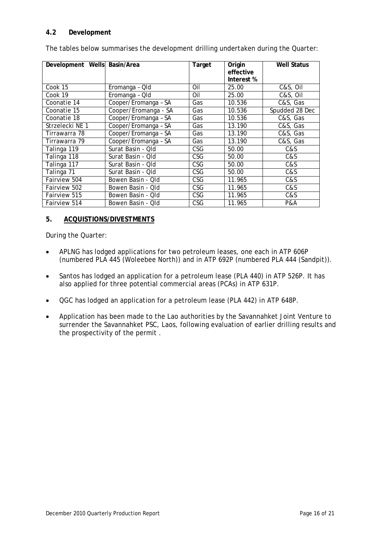#### **4.2 Development**

| Development Wells Basin/Area |                      | Target     | Origin     | <b>Well Status</b> |
|------------------------------|----------------------|------------|------------|--------------------|
|                              |                      |            | effective  |                    |
|                              |                      |            | Interest % |                    |
| Cook 15                      | Eromanga - Qld       | Oil        | 25.00      | C&S, Oil           |
| Cook 19                      | Eromanga - Qld       | Oil        | 25.00      | C&S, Oil           |
| Coonatie 14                  | Cooper/Eromanga - SA | Gas        | 10.536     | C&S, Gas           |
| Coonatie 15                  | Cooper/Eromanga - SA | Gas        | 10.536     | Spudded 28 Dec     |
| Coonatie 18                  | Cooper/Eromanga - SA | Gas        | 10.536     | C&S, Gas           |
| Strzelecki NE 1              | Cooper/Eromanga - SA | Gas        | 13.190     | C&S, Gas           |
| Tirrawarra 78                | Cooper/Eromanga - SA | Gas        | 13.190     | C&S, Gas           |
| Tirrawarra 79                | Cooper/Eromanga - SA | Gas        | 13.190     | C&S, Gas           |
| Talinga 119                  | Surat Basin - Qld    | CSG.       | 50.00      | C&S                |
| Talinga 118                  | Surat Basin - Qld    | CSG.       | 50.00      | C&S                |
| Talinga 117                  | Surat Basin - Qld    | CSG        | 50.00      | C&S                |
| Talinga 71                   | Surat Basin - Qld    | CSG        | 50.00      | C&S                |
| Fairview 504                 | Bowen Basin - Old    | CSG        | 11.965     | C&S                |
| Fairview 502                 | Bowen Basin - Old    | <b>CSG</b> | 11.965     | C&S                |
| Fairview 515                 | Bowen Basin - Old    | <b>CSG</b> | 11.965     | C&S                |
| Fairview 514                 | Bowen Basin - Old    | CSG        | 11.965     | <b>P&amp;A</b>     |

The tables below summarises the development drilling undertaken during the Quarter:

# **5. ACQUISTIONS/DIVESTMENTS**

During the Quarter:

- APLNG has lodged applications for two petroleum leases, one each in ATP 606P (numbered PLA 445 (Woleebee North)) and in ATP 692P (numbered PLA 444 (Sandpit)).
- Santos has lodged an application for a petroleum lease (PLA 440) in ATP 526P. It has also applied for three potential commercial areas (PCAs) in ATP 631P.
- QGC has lodged an application for a petroleum lease (PLA 442) in ATP 648P.
- Application has been made to the Lao authorities by the Savannahket Joint Venture to surrender the Savannahket PSC, Laos, following evaluation of earlier drilling results and the prospectivity of the permit .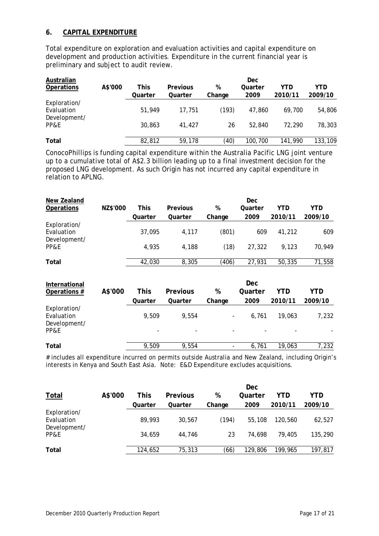#### **6. CAPITAL EXPENDITURE**

Total expenditure on exploration and evaluation activities and capital expenditure on development and production activities. Expenditure in the current financial year is preliminary and subject to audit review.

| Australian        |         |         |          |        | Dec     |         |            |
|-------------------|---------|---------|----------|--------|---------|---------|------------|
| <b>Operations</b> | A\$'000 | This    | Previous | %      | Quarter | YTD     | <b>YTD</b> |
|                   |         | Quarter | Quarter  | Change | 2009    | 2010/11 | 2009/10    |
| Exploration/      |         |         |          |        |         |         |            |
| Evaluation        |         | 51,949  | 17.751   | (193)  | 47.860  | 69.700  | 54,806     |
| Development/      |         |         |          |        |         |         |            |
| PP&E              |         | 30,863  | 41.427   | 26     | 52.840  | 72.290  | 78,303     |
|                   |         |         |          |        |         |         |            |
| Total             |         | 82,812  | 59,178   | (40)   | 100,700 | 141,990 | 133,109    |

ConocoPhillips is funding capital expenditure within the Australia Pacific LNG joint venture up to a cumulative total of A\$2.3 billion leading up to a final investment decision for the proposed LNG development. As such Origin has not incurred any capital expenditure in relation to APLNG.

| New Zealand                                |          |         |                 |        | Dec        |         |            |
|--------------------------------------------|----------|---------|-----------------|--------|------------|---------|------------|
| <b>Operations</b>                          | NZ\$'000 | This    | Previous        | %      | Quarter    | YTD     | <b>YTD</b> |
|                                            |          | Quarter | Quarter         | Change | 2009       | 2010/11 | 2009/10    |
| Exploration/<br>Evaluation<br>Development/ |          | 37,095  | 4,117           | (801)  | 609        | 41,212  | 609        |
| PP&E                                       |          | 4,935   | 4,188           | (18)   | 27,322     | 9,123   | 70,949     |
| Total                                      |          | 42,030  | 8,305           | (406)  | 27,931     | 50,335  | 71,558     |
| International                              |          |         |                 |        | <b>Dec</b> |         |            |
| Operations #                               | A\$'000  | This    | <b>Previous</b> | %      | Quarter    | YTD     | <b>YTD</b> |
|                                            |          | Quarter | Quarter         |        |            |         |            |
|                                            |          |         |                 | Change | 2009       | 2010/11 | 2009/10    |
| Exploration/<br>Evaluation<br>Development/ |          | 9,509   | 9,554           |        | 6,761      | 19,063  | 7,232      |
| PP&E                                       |          |         |                 |        |            |         |            |

# includes all expenditure incurred on permits outside Australia and New Zealand, including Origin's interests in Kenya and South East Asia. Note: E&D Expenditure excludes acquisitions.

|                            |         |         |                 |        | <b>Dec</b> |         |         |
|----------------------------|---------|---------|-----------------|--------|------------|---------|---------|
| <b>Total</b>               | A\$'000 | This    | <b>Previous</b> | %      | Quarter    | YTD     | YTD     |
|                            |         | Quarter | Quarter         | Change | 2009       | 2010/11 | 2009/10 |
| Exploration/<br>Evaluation |         | 89,993  | 30.567          | (194)  | 55,108     | 120.560 | 62,527  |
| Development/<br>PP&E       |         | 34,659  | 44.746          | 23     | 74.698     | 79.405  | 135,290 |
| Total                      |         | 124,652 | 75,313          | (66)   | 129,806    | 199,965 | 197,817 |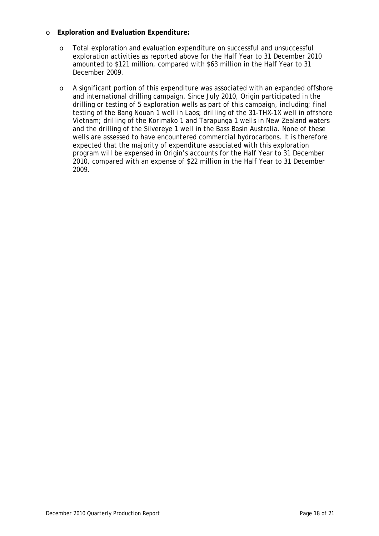#### o **Exploration and Evaluation Expenditure:**

- o Total exploration and evaluation expenditure on successful and unsuccessful exploration activities as reported above for the Half Year to 31 December 2010 amounted to \$121 million, compared with \$63 million in the Half Year to 31 December 2009.
- o A significant portion of this expenditure was associated with an expanded offshore and international drilling campaign. Since July 2010, Origin participated in the drilling or testing of 5 exploration wells as part of this campaign, including; final testing of the Bang Nouan 1 well in Laos; drilling of the 31-THX-1X well in offshore Vietnam; drilling of the Korimako 1 and Tarapunga 1 wells in New Zealand waters and the drilling of the Silvereye 1 well in the Bass Basin Australia. None of these wells are assessed to have encountered commercial hydrocarbons. It is therefore expected that the majority of expenditure associated with this exploration program will be expensed in Origin's accounts for the Half Year to 31 December 2010, compared with an expense of \$22 million in the Half Year to 31 December 2009.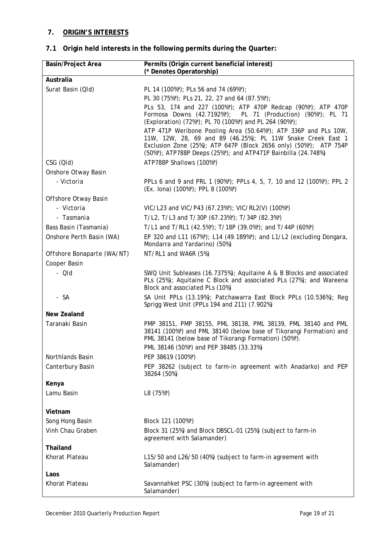# **7. ORIGIN'S INTERESTS**

# **7.1 Origin held interests in the following permits during the Quarter:**

| <b>Basin/Project Area</b>  | Permits (Origin current beneficial interest)<br>(* Denotes Operatorship)                                                                                                                                                                                             |
|----------------------------|----------------------------------------------------------------------------------------------------------------------------------------------------------------------------------------------------------------------------------------------------------------------|
| Australia                  |                                                                                                                                                                                                                                                                      |
| Surat Basin (QId)          | PL 14 (100%*); PLs 56 and 74 (69%*);                                                                                                                                                                                                                                 |
|                            | PL 30 (75%*); PLs 21, 22, 27 and 64 (87.5%*);                                                                                                                                                                                                                        |
|                            | PLs 53, 174 and 227 (100%*); ATP 470P Redcap (90%*); ATP 470P                                                                                                                                                                                                        |
|                            | Formosa Downs (42.7192%*); PL 71 (Production) (90%*); PL 71<br>(Exploration) (72%*); PL 70 (100%*) and PL 264 (90%*);                                                                                                                                                |
|                            | ATP 471P Weribone Pooling Area (50.64%*); ATP 336P and PLs 10W,<br>11W, 12W, 28, 69 and 89 (46.25%); PL 11W Snake Creek East 1<br>Exclusion Zone (25%); ATP 647P (Block 2656 only) (50%*); ATP 754P<br>(50%*); ATP788P Deeps (25%*); and ATP471P Bainbilla (24.748%) |
| CSG (QId)                  | ATP788P Shallows (100%*)                                                                                                                                                                                                                                             |
| Onshore Otway Basin        |                                                                                                                                                                                                                                                                      |
| - Victoria                 | PPLs 6 and 9 and PRL 1 (90%*); PPLs 4, 5, 7, 10 and 12 (100%*); PPL 2<br>(Ex. lona) (100%*); PPL 8 (100%*)                                                                                                                                                           |
| Offshore Otway Basin       |                                                                                                                                                                                                                                                                      |
| - Victoria                 | VIC/L23 and VIC/P43 (67.23%*); VIC/RL2(V) (100%*)                                                                                                                                                                                                                    |
| - Tasmania                 | T/L2, T/L3 and T/30P (67.23%*); T/34P (82.3%*)                                                                                                                                                                                                                       |
| Bass Basin (Tasmania)      | T/L1 and T/RL1 (42.5%*); T/18P (39.0%*); and T/44P (60%*)                                                                                                                                                                                                            |
| Onshore Perth Basin (WA)   | EP 320 and L11 (67%*); L14 (49.189%*); and L1/L2 (excluding Dongara,<br>Mondarra and Yardarino) (50%)                                                                                                                                                                |
| Offshore Bonaparte (WA/NT) | NT/RL1 and WA6R (5%)                                                                                                                                                                                                                                                 |
| Cooper Basin               |                                                                                                                                                                                                                                                                      |
| - QId                      | SWQ Unit Subleases (16.7375%); Aquitaine A & B Blocks and associated<br>PLs (25%); Aquitaine C Block and associated PLs (27%); and Wareena<br>Block and associated PLs (10%)                                                                                         |
| - SA                       | SA Unit PPLs (13.19%); Patchawarra East Block PPLs (10.536%); Reg<br>Sprigg West Unit (PPLs 194 and 211) (7.902%)                                                                                                                                                    |
| <b>New Zealand</b>         |                                                                                                                                                                                                                                                                      |
| Taranaki Basin             | PMP 38151, PMP 38155, PML 38138, PML 38139, PML 38140 and PML<br>38141 (100%*) and PML 38140 (below base of Tikorangi Formation) and<br>PML 38141 (below base of Tikorangi Formation) (50%*).<br>PML 38146 (50%*) and PEP 38485 (33.33%)                             |
| Northlands Basin           | PEP 38619 (100%*)                                                                                                                                                                                                                                                    |
| Canterbury Basin           | PEP 38262 (subject to farm-in agreement with Anadarko) and PEP<br>38264 (50%)                                                                                                                                                                                        |
| Kenya                      |                                                                                                                                                                                                                                                                      |
| Lamu Basin                 | L8 (75%*)                                                                                                                                                                                                                                                            |
| Vietnam                    |                                                                                                                                                                                                                                                                      |
| Song Hong Basin            | Block 121 (100%*)                                                                                                                                                                                                                                                    |
| Vinh Chau Graben           | Block 31 (25%) and Block DBSCL-01 (25%) (subject to farm-in<br>agreement with Salamander)                                                                                                                                                                            |
| Thailand                   |                                                                                                                                                                                                                                                                      |
| Khorat Plateau             | L15/50 and L26/50 (40%) (subject to farm-in agreement with<br>Salamander)                                                                                                                                                                                            |
| Laos                       |                                                                                                                                                                                                                                                                      |
| Khorat Plateau             | Savannahket PSC (30%) (subject to farm-in agreement with<br>Salamander)                                                                                                                                                                                              |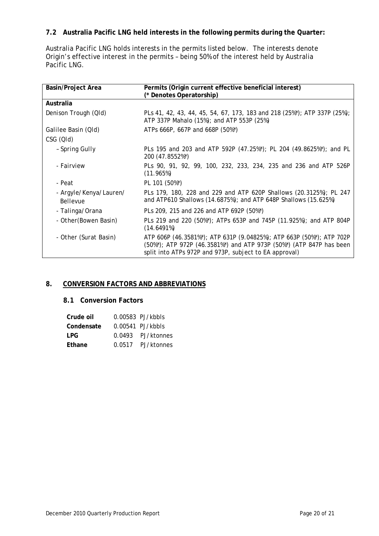# **7.2 Australia Pacific LNG held interests in the following permits during the Quarter:**

Australia Pacific LNG holds interests in the permits listed below. The interests denote Origin's effective interest in the permits – being 50% of the interest held by Australia Pacific LNG.

| Basin/Project Area                 | Permits (Origin current effective beneficial interest)<br>(* Denotes Operatorship)                                                                                                                    |
|------------------------------------|-------------------------------------------------------------------------------------------------------------------------------------------------------------------------------------------------------|
| Australia                          |                                                                                                                                                                                                       |
| Denison Trough (QId)               | PLs 41, 42, 43, 44, 45, 54, 67, 173, 183 and 218 (25%*); ATP 337P (25%);<br>ATP 337P Mahalo (15%); and ATP 553P (25%)                                                                                 |
| Galilee Basin (Qld)                | ATPs 666P, 667P and 668P (50%*)                                                                                                                                                                       |
| CSG (QId)                          |                                                                                                                                                                                                       |
| - Spring Gully                     | PLs 195 and 203 and ATP 592P (47.25%*); PL 204 (49.8625%*); and PL<br>200 (47.8552%*)                                                                                                                 |
| <i>- Fairview</i>                  | PLs 90, 91, 92, 99, 100, 232, 233, 234, 235 and 236 and ATP 526P<br>(11.965%)                                                                                                                         |
| - Peat                             | PL 101 (50%*)                                                                                                                                                                                         |
| - Argyle/Kenya/Lauren/<br>Bellevue | PLs 179, 180, 228 and 229 and ATP 620P Shallows (20.3125%); PL 247<br>and ATP610 Shallows (14.6875%); and ATP 648P Shallows (15.625%)                                                                 |
| - Talinga/Orana                    | PLs 209, 215 and 226 and ATP 692P (50%*)                                                                                                                                                              |
| - Other (Bowen Basin)              | PLs 219 and 220 (50%*); ATPs 653P and 745P (11.925%); and ATP 804P<br>(14.6491%)                                                                                                                      |
| - Other (Surat Basin)              | ATP 606P (46.3581%*); ATP 631P (9.04825%); ATP 663P (50%*); ATP 702P<br>(50%*); ATP 972P (46.3581%*) and ATP 973P (50%*) (ATP 847P has been<br>split into ATPs 972P and 973P, subject to EA approval) |

#### **8. CONVERSION FACTORS AND ABBREVIATIONS**

#### **8.1 Conversion Factors**

| Crude oil  |        | $0.00583$ PJ/kbbls |
|------------|--------|--------------------|
| Condensate |        | $0.00541$ PJ/kbbls |
| LPG.       | 0.0493 | PJ/ktonnes         |
| Ethane     | 0.0517 | PJ/ktonnes         |